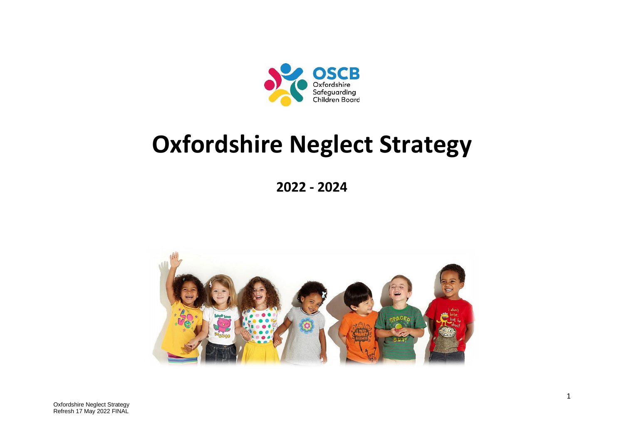

# **Oxfordshire Neglect Strategy**

**2022 - 2024**

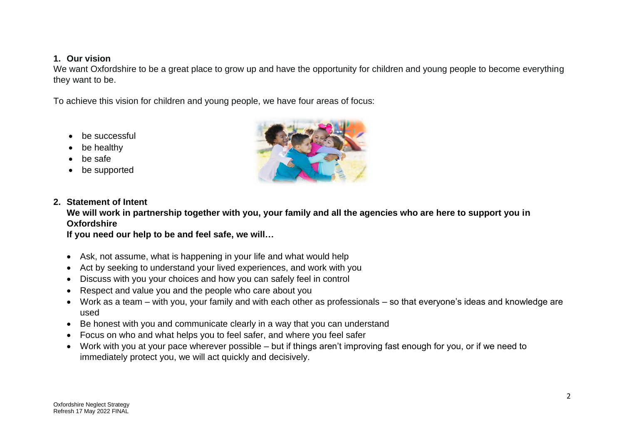#### **1. Our vision**

We want Oxfordshire to be a great place to grow up and have the opportunity for children and young people to become everything they want to be.

To achieve this vision for children and young people, we have four areas of focus:

- be successful
- be healthy
- be safe
- be supported



## **2. Statement of Intent**

**We will work in partnership together with you, your family and all the agencies who are here to support you in Oxfordshire**

**If you need our help to be and feel safe, we will…**

- Ask, not assume, what is happening in your life and what would help
- Act by seeking to understand your lived experiences, and work with you
- Discuss with you your choices and how you can safely feel in control
- Respect and value you and the people who care about you
- Work as a team with you, your family and with each other as professionals so that everyone's ideas and knowledge are used
- Be honest with you and communicate clearly in a way that you can understand
- Focus on who and what helps you to feel safer, and where you feel safer
- Work with you at your pace wherever possible but if things aren't improving fast enough for you, or if we need to immediately protect you, we will act quickly and decisively.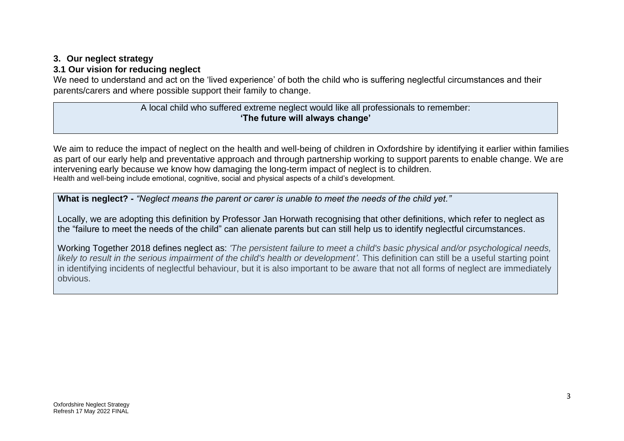## **3. Our neglect strategy**

## **3.1 Our vision for reducing neglect**

We need to understand and act on the 'lived experience' of both the child who is suffering neglectful circumstances and their parents/carers and where possible support their family to change.

## A local child who suffered extreme neglect would like all professionals to remember: **'The future will always change'**

We aim to reduce the impact of neglect on the health and well-being of children in Oxfordshire by identifying it earlier within families as part of our early help and preventative approach and through partnership working to support parents to enable change. We are intervening early because we know how damaging the long-term impact of neglect is to children. Health and well-being include emotional, cognitive, social and physical aspects of a child's development.

**What is neglect? -** *"Neglect means the parent or carer is unable to meet the needs of the child yet."* 

Locally, we are adopting this definition by Professor Jan Horwath recognising that other definitions, which refer to neglect as the "failure to meet the needs of the child" can alienate parents but can still help us to identify neglectful circumstances.

Working Together 2018 defines neglect as: *'The persistent failure to meet a child's basic physical and/or psychological needs, likely to result in the serious impairment of the child's health or development'.* This definition can still be a useful starting point in identifying incidents of neglectful behaviour, but it is also important to be aware that not all forms of neglect are immediately obvious.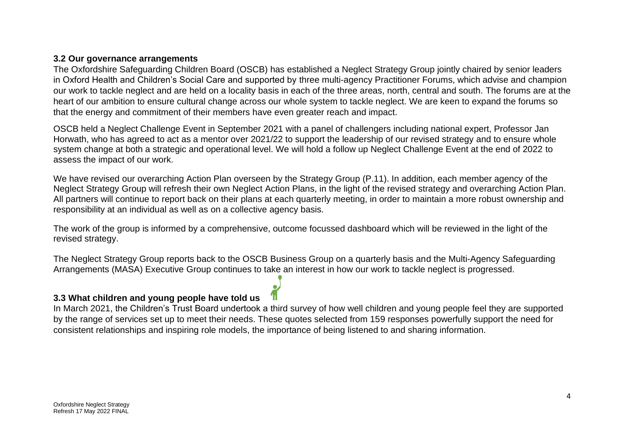#### **3.2 Our governance arrangements**

The Oxfordshire Safeguarding Children Board (OSCB) has established a Neglect Strategy Group jointly chaired by senior leaders in Oxford Health and Children's Social Care and supported by three multi-agency Practitioner Forums, which advise and champion our work to tackle neglect and are held on a locality basis in each of the three areas, north, central and south. The forums are at the heart of our ambition to ensure cultural change across our whole system to tackle neglect. We are keen to expand the forums so that the energy and commitment of their members have even greater reach and impact.

OSCB held a Neglect Challenge Event in September 2021 with a panel of challengers including national expert, Professor Jan Horwath, who has agreed to act as a mentor over 2021/22 to support the leadership of our revised strategy and to ensure whole system change at both a strategic and operational level. We will hold a follow up Neglect Challenge Event at the end of 2022 to assess the impact of our work.

We have revised our overarching Action Plan overseen by the Strategy Group (P.11). In addition, each member agency of the Neglect Strategy Group will refresh their own Neglect Action Plans, in the light of the revised strategy and overarching Action Plan. All partners will continue to report back on their plans at each quarterly meeting, in order to maintain a more robust ownership and responsibility at an individual as well as on a collective agency basis.

The work of the group is informed by a comprehensive, outcome focussed dashboard which will be reviewed in the light of the revised strategy.

The Neglect Strategy Group reports back to the OSCB Business Group on a quarterly basis and the Multi-Agency Safeguarding Arrangements (MASA) Executive Group continues to take an interest in how our work to tackle neglect is progressed.

## **3.3 What children and young people have told us**

In March 2021, the Children's Trust Board undertook a third survey of how well children and young people feel they are supported by the range of services set up to meet their needs. These quotes selected from 159 responses powerfully support the need for consistent relationships and inspiring role models, the importance of being listened to and sharing information.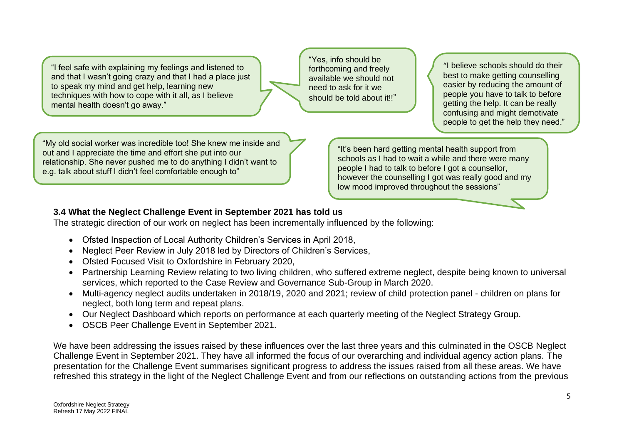"I feel safe with explaining my feelings and listened to and that I wasn't going crazy and that I had a place just to speak my mind and get help, learning new techniques with how to cope with it all, as I believe mental health doesn't go away."

"Yes, info should be forthcoming and freely available we should not need to ask for it we should be told about it!!"

"I believe schools should do their best to make getting counselling easier by reducing the amount of people you have to talk to before getting the help. It can be really confusing and might demotivate people to get the help they need."

"My old social worker was incredible too! She knew me inside and out and I appreciate the time and effort she put into our relationship. She never pushed me to do anything I didn't want to e.g. talk about stuff I didn't feel comfortable enough to"

"It's been hard getting mental health support from schools as I had to wait a while and there were many people I had to talk to before I got a counsellor, however the counselling I got was really good and my low mood improved throughout the sessions"

## **3.4 What the Neglect Challenge Event in September 2021 has told us**

The strategic direction of our work on neglect has been incrementally influenced by the following:

- Ofsted Inspection of Local Authority Children's Services in April 2018,
- Neglect Peer Review in July 2018 led by Directors of Children's Services,
- Ofsted Focused Visit to Oxfordshire in February 2020,
- Partnership Learning Review relating to two living children, who suffered extreme neglect, despite being known to universal services, which reported to the Case Review and Governance Sub-Group in March 2020.
- Multi-agency neglect audits undertaken in 2018/19, 2020 and 2021; review of child protection panel children on plans for neglect, both long term and repeat plans.
- Our Neglect Dashboard which reports on performance at each quarterly meeting of the Neglect Strategy Group.
- OSCB Peer Challenge Event in September 2021.

We have been addressing the issues raised by these influences over the last three years and this culminated in the OSCB Neglect Challenge Event in September 2021. They have all informed the focus of our overarching and individual agency action plans. The presentation for the Challenge Event summarises significant progress to address the issues raised from all these areas. We have refreshed this strategy in the light of the Neglect Challenge Event and from our reflections on outstanding actions from the previous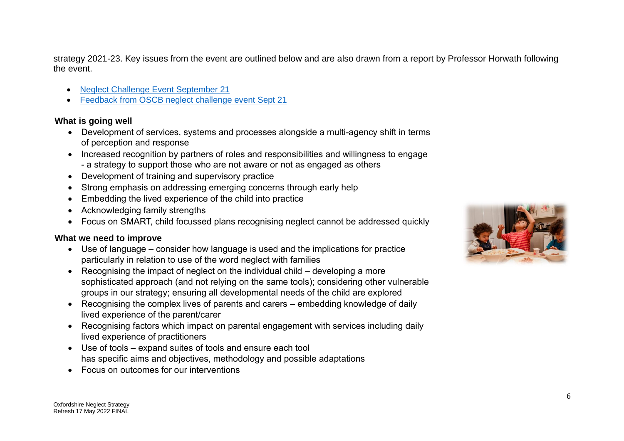strategy 2021-23. Key issues from the event are outlined below and are also drawn from a report by Professor Horwath following the event.

- [Neglect Challenge Event September 21](https://www.oscb.org.uk/documents/neglect-challenge-event-21st-september-21/)
- [Feedback from OSCB neglect challenge event Sept 21](https://www.oscb.org.uk/documents/feedback-from-oscb-neglect-challenge-event-sept-21/)

## **What is going well**

- Development of services, systems and processes alongside a multi-agency shift in terms of perception and response
- Increased recognition by partners of roles and responsibilities and willingness to engage - a strategy to support those who are not aware or not as engaged as others
- Development of training and supervisory practice
- Strong emphasis on addressing emerging concerns through early help
- Embedding the lived experience of the child into practice
- Acknowledging family strengths
- Focus on SMART, child focussed plans recognising neglect cannot be addressed quickly

## **What we need to improve**

- Use of language consider how language is used and the implications for practice particularly in relation to use of the word neglect with families
- Recognising the impact of neglect on the individual child developing a more sophisticated approach (and not relying on the same tools); considering other vulnerable groups in our strategy; ensuring all developmental needs of the child are explored
- Recognising the complex lives of parents and carers embedding knowledge of daily lived experience of the parent/carer
- Recognising factors which impact on parental engagement with services including daily lived experience of practitioners
- Use of tools expand suites of tools and ensure each tool has specific aims and objectives, methodology and possible adaptations
- Focus on outcomes for our interventions

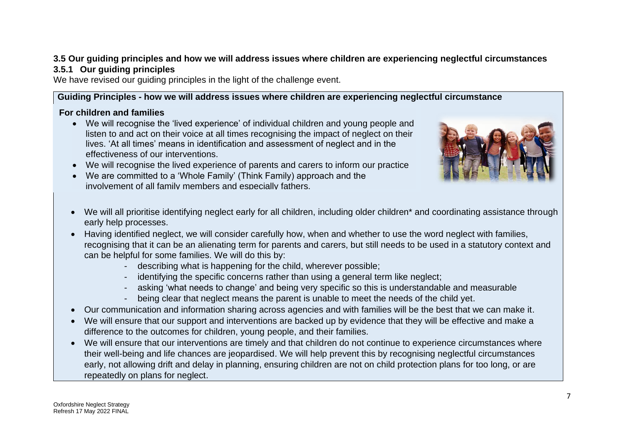## **3.5 Our guiding principles and how we will address issues where children are experiencing neglectful circumstances 3.5.1 Our guiding principles**

We have revised our guiding principles in the light of the challenge event.

## **Guiding Principles - how we will address issues where children are experiencing neglectful circumstance**

## **For children and families**

- We will recognise the 'lived experience' of individual children and young people and listen to and act on their voice at all times recognising the impact of neglect on their lives. 'At all times' means in identification and assessment of neglect and in the effectiveness of our interventions.
- We will recognise the lived experience of parents and carers to inform our practice
- We are committed to a 'Whole Family' (Think Family) approach and the involvement of all family members and especially fathers.



- We will all prioritise identifying neglect early for all children, including older children\* and coordinating assistance through From all promoon dominging neglect early for all children, including older children.<br>early help processes.
- early holp processes.<br>■ Having identified neglect, we will consider carefully how, when and whether to use the word neglect with families, recognising that it can be an alienating term for parents and carers, but still needs to be used in a statutory context and can be helpful for some families. We will do this by: •
	- describing what is happening for the child, wherever possible;
	- identifying the specific concerns rather than using a general term like neglect;
	- asking 'what needs to change' and being very specific so this is understandable and measurable
	- being clear that neglect means the parent is unable to meet the needs of the child yet.
- Our communication and information sharing across agencies and with families will be the best that we can make it.
- We will ensure that our support and interventions are backed up by evidence that they will be effective and make a difference to the outcomes for children, young people, and their families.
- We will ensure that our interventions are timely and that children do not continue to experience circumstances where their well-being and life chances are jeopardised. We will help prevent this by recognising neglectful circumstances early, not allowing drift and delay in planning, ensuring children are not on child protection plans for too long, or are repeatedly on plans for neglect.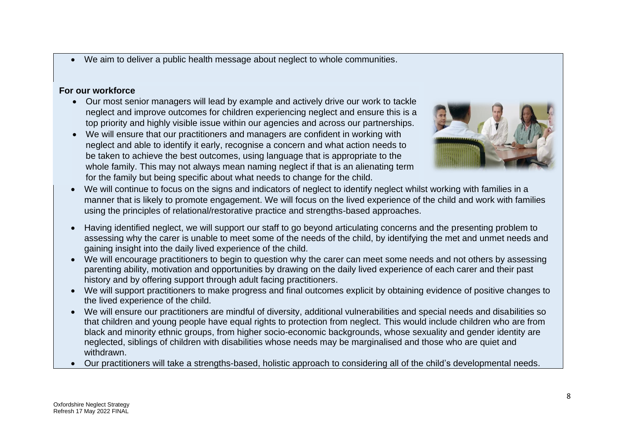• We aim to deliver a public health message about neglect to whole communities.

#### **For our workforce**

- Our most senior managers will lead by example and actively drive our work to tackle neglect and improve outcomes for children experiencing neglect and ensure this is a top priority and highly visible issue within our agencies and across our partnerships.
- We will ensure that our practitioners and managers are confident in working with neglect and able to identify it early, recognise a concern and what action needs to be taken to achieve the best outcomes, using language that is appropriate to the whole family. This may not always mean naming neglect if that is an alienating term for the family but being specific about what needs to change for the child.



- We will continue to focus on the signs and indicators of neglect to identify neglect whilst working with families in a manner that is likely to promote engagement. We will focus on the lived experience of the child and work with families using the principles of relational/restorative practice and strengths-based approaches.
- Having identified neglect, we will support our staff to go beyond articulating concerns and the presenting problem to assessing why the carer is unable to meet some of the needs of the child, by identifying the met and unmet needs and gaining insight into the daily lived experience of the child.
- We will encourage practitioners to begin to question why the carer can meet some needs and not others by assessing parenting ability, motivation and opportunities by drawing on the daily lived experience of each carer and their past history and by offering support through adult facing practitioners.
- We will support practitioners to make progress and final outcomes explicit by obtaining evidence of positive changes to the lived experience of the child.
- We will ensure our practitioners are mindful of diversity, additional vulnerabilities and special needs and disabilities so that children and young people have equal rights to protection from neglect. This would include children who are from black and minority ethnic groups, from higher socio-economic backgrounds, whose sexuality and gender identity are neglected, siblings of children with disabilities whose needs may be marginalised and those who are quiet and withdrawn.
- Our practitioners will take a strengths-based, holistic approach to considering all of the child's developmental needs.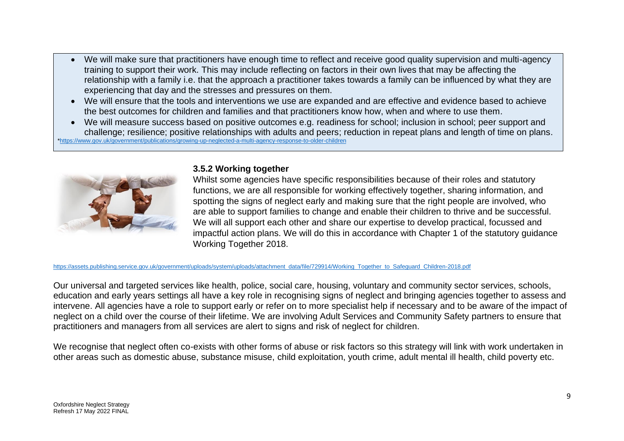- We will make sure that practitioners have enough time to reflect and receive good quality supervision and multi-agency training to support their work. This may include reflecting on factors in their own lives that may be affecting the relationship with a family i.e. that the approach a practitioner takes towards a family can be influenced by what they are experiencing that day and the stresses and pressures on them.
- We will ensure that the tools and interventions we use are expanded and are effective and evidence based to achieve the best outcomes for children and families and that practitioners know how, when and where to use them.
- We will measure success based on positive outcomes e.g. readiness for school; inclusion in school; peer support and challenge; resilience; positive relationships with adults and peers; reduction in repeat plans and length of time on plans. [\\*https://www.gov.uk/government/publications/growing-up-neglected-a-multi-agency-response-to-older-children](https://www.gov.uk/government/publications/growing-up-neglected-a-multi-agency-response-to-older-children)



#### **3.5.2 Working together**

Whilst some agencies have specific responsibilities because of their roles and statutory functions, we are all responsible for working effectively together, sharing information, and spotting the signs of neglect early and making sure that the right people are involved, who are able to support families to change and enable their children to thrive and be successful. We will all support each other and share our expertise to develop practical, focussed and impactful action plans. We will do this in accordance with Chapter 1 of the statutory guidance Working Together 2018.

[https://assets.publishing.service.gov.uk/government/uploads/system/uploads/attachment\\_data/file/729914/Working\\_Together\\_to\\_Safeguard\\_Children-2018.pdf](https://assets.publishing.service.gov.uk/government/uploads/system/uploads/attachment_data/file/729914/Working_Together_to_Safeguard_Children-2018.pdf)

Our universal and targeted services like health, police, social care, housing, voluntary and community sector services, schools, education and early years settings all have a key role in recognising signs of neglect and bringing agencies together to assess and intervene. All agencies have a role to support early or refer on to more specialist help if necessary and to be aware of the impact of neglect on a child over the course of their lifetime. We are involving Adult Services and Community Safety partners to ensure that practitioners and managers from all services are alert to signs and risk of neglect for children.

We recognise that neglect often co-exists with other forms of abuse or risk factors so this strategy will link with work undertaken in other areas such as domestic abuse, substance misuse, child exploitation, youth crime, adult mental ill health, child poverty etc.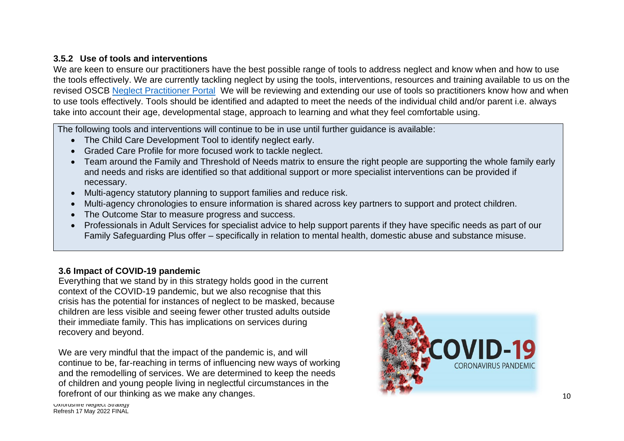## **3.5.2 Use of tools and interventions**

We are keen to ensure our practitioners have the best possible range of tools to address neglect and know when and how to use the tools effectively. We are currently tackling neglect by using the tools, interventions, resources and training available to us on the revised OSCB [Neglect Practitioner Portal](http://www.oscb.org.uk/themes-tools/neglect/neglect-toolkit-home-page/) We will be reviewing and extending our use of tools so practitioners know how and when to use tools effectively. Tools should be identified and adapted to meet the needs of the individual child and/or parent i.e. always take into account their age, developmental stage, approach to learning and what they feel comfortable using.

The following tools and interventions will continue to be in use until further guidance is available:

- The Child Care Development Tool to identify neglect early.
- Graded Care Profile for more focused work to tackle neglect.
- Team around the Family and Threshold of Needs matrix to ensure the right people are supporting the whole family early and needs and risks are identified so that additional support or more specialist interventions can be provided if necessary.
- Multi-agency statutory planning to support families and reduce risk.
- Multi-agency chronologies to ensure information is shared across key partners to support and protect children.
- The Outcome Star to measure progress and success.
- Professionals in Adult Services for specialist advice to help support parents if they have specific needs as part of our Family Safeguarding Plus offer – specifically in relation to mental health, domestic abuse and substance misuse.

## **3.6 Impact of COVID-19 pandemic**

Everything that we stand by in this strategy holds good in the current context of the COVID-19 pandemic, but we also recognise that this crisis has the potential for instances of neglect to be masked, because children are less visible and seeing fewer other trusted adults outside their immediate family. This has implications on services during recovery and beyond.

We are very mindful that the impact of the pandemic is, and will continue to be, far-reaching in terms of influencing new ways of working and the remodelling of services. We are determined to keep the needs of children and young people living in neglectful circumstances in the forefront of our thinking as we make any changes.

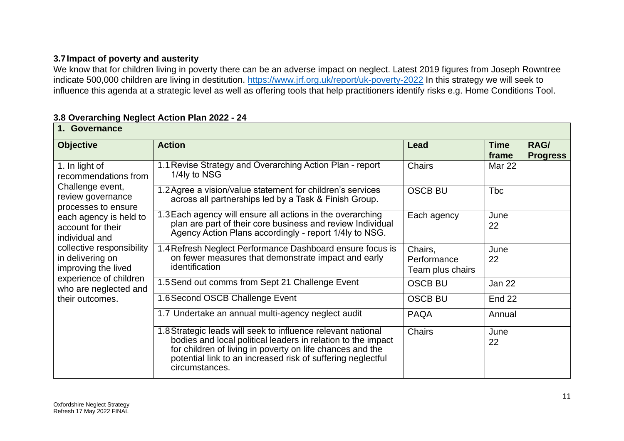## **3.7Impact of poverty and austerity**

We know that for children living in poverty there can be an adverse impact on neglect. Latest 2019 figures from Joseph Rowntree indicate 500,000 children are living in destitution.<https://www.jrf.org.uk/report/uk-poverty-2022> In this strategy we will seek to influence this agenda at a strategic level as well as offering tools that help practitioners identify risks e.g. Home Conditions Tool.

#### **3.8 Overarching Neglect Action Plan 2022 - 24**

| 1. Governance                                                                                                                                                                                               |                                                                                                                                                                                                                                                                            |                                            |                      |                         |
|-------------------------------------------------------------------------------------------------------------------------------------------------------------------------------------------------------------|----------------------------------------------------------------------------------------------------------------------------------------------------------------------------------------------------------------------------------------------------------------------------|--------------------------------------------|----------------------|-------------------------|
| <b>Objective</b>                                                                                                                                                                                            | <b>Action</b>                                                                                                                                                                                                                                                              | Lead                                       | <b>Time</b><br>frame | RAG/<br><b>Progress</b> |
| 1. In light of<br>recommendations from                                                                                                                                                                      | 1.1 Revise Strategy and Overarching Action Plan - report<br>1/4ly to NSG                                                                                                                                                                                                   | <b>Chairs</b>                              | Mar 22               |                         |
| Challenge event,<br>review governance<br>processes to ensure                                                                                                                                                | 1.2 Agree a vision/value statement for children's services<br>across all partnerships led by a Task & Finish Group.                                                                                                                                                        | <b>OSCB BU</b>                             | <b>T</b> bc          |                         |
| each agency is held to<br>account for their<br>individual and<br>collective responsibility<br>in delivering on<br>improving the lived<br>experience of children<br>who are neglected and<br>their outcomes. | 1.3 Each agency will ensure all actions in the overarching<br>plan are part of their core business and review Individual<br>Agency Action Plans accordingly - report 1/4ly to NSG.                                                                                         | Each agency                                | June<br>22           |                         |
|                                                                                                                                                                                                             | 1.4 Refresh Neglect Performance Dashboard ensure focus is<br>on fewer measures that demonstrate impact and early<br>identification                                                                                                                                         | Chairs,<br>Performance<br>Team plus chairs | June<br>22           |                         |
|                                                                                                                                                                                                             | 1.5 Send out comms from Sept 21 Challenge Event                                                                                                                                                                                                                            | <b>OSCB BU</b>                             | Jan 22               |                         |
|                                                                                                                                                                                                             | 1.6 Second OSCB Challenge Event                                                                                                                                                                                                                                            | <b>OSCB BU</b>                             | <b>End 22</b>        |                         |
|                                                                                                                                                                                                             | 1.7 Undertake an annual multi-agency neglect audit                                                                                                                                                                                                                         | <b>PAQA</b>                                | Annual               |                         |
|                                                                                                                                                                                                             | 1.8 Strategic leads will seek to influence relevant national<br>bodies and local political leaders in relation to the impact<br>for children of living in poverty on life chances and the<br>potential link to an increased risk of suffering neglectful<br>circumstances. | <b>Chairs</b>                              | June<br>22           |                         |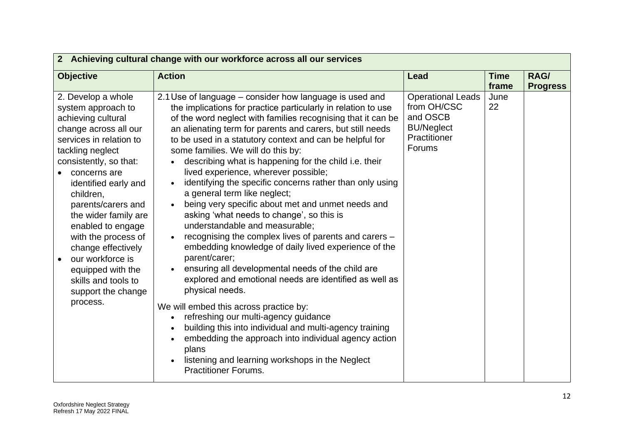| 2 Achieving cultural change with our workforce across all our services                                                                                                                                                                                                                                                                                                                                                                  |                                                                                                                                                                                                                                                                                                                                                                                                                                                                                                                                                                                                                                                                                                                                                                                                                                                                                                                                                                                                                                                                                                                                                                                                                                                               |                                                                                                    |                      |                         |
|-----------------------------------------------------------------------------------------------------------------------------------------------------------------------------------------------------------------------------------------------------------------------------------------------------------------------------------------------------------------------------------------------------------------------------------------|---------------------------------------------------------------------------------------------------------------------------------------------------------------------------------------------------------------------------------------------------------------------------------------------------------------------------------------------------------------------------------------------------------------------------------------------------------------------------------------------------------------------------------------------------------------------------------------------------------------------------------------------------------------------------------------------------------------------------------------------------------------------------------------------------------------------------------------------------------------------------------------------------------------------------------------------------------------------------------------------------------------------------------------------------------------------------------------------------------------------------------------------------------------------------------------------------------------------------------------------------------------|----------------------------------------------------------------------------------------------------|----------------------|-------------------------|
| <b>Objective</b>                                                                                                                                                                                                                                                                                                                                                                                                                        | <b>Action</b>                                                                                                                                                                                                                                                                                                                                                                                                                                                                                                                                                                                                                                                                                                                                                                                                                                                                                                                                                                                                                                                                                                                                                                                                                                                 | Lead                                                                                               | <b>Time</b><br>frame | RAG/<br><b>Progress</b> |
| 2. Develop a whole<br>system approach to<br>achieving cultural<br>change across all our<br>services in relation to<br>tackling neglect<br>consistently, so that:<br>concerns are<br>identified early and<br>children,<br>parents/carers and<br>the wider family are<br>enabled to engage<br>with the process of<br>change effectively<br>our workforce is<br>equipped with the<br>skills and tools to<br>support the change<br>process. | 2.1 Use of language - consider how language is used and<br>the implications for practice particularly in relation to use<br>of the word neglect with families recognising that it can be<br>an alienating term for parents and carers, but still needs<br>to be used in a statutory context and can be helpful for<br>some families. We will do this by:<br>describing what is happening for the child i.e. their<br>lived experience, wherever possible;<br>identifying the specific concerns rather than only using<br>a general term like neglect;<br>being very specific about met and unmet needs and<br>asking 'what needs to change', so this is<br>understandable and measurable;<br>recognising the complex lives of parents and carers -<br>embedding knowledge of daily lived experience of the<br>parent/carer;<br>ensuring all developmental needs of the child are<br>explored and emotional needs are identified as well as<br>physical needs.<br>We will embed this across practice by:<br>refreshing our multi-agency guidance<br>building this into individual and multi-agency training<br>embedding the approach into individual agency action<br>plans<br>listening and learning workshops in the Neglect<br><b>Practitioner Forums.</b> | <b>Operational Leads</b><br>from OH/CSC<br>and OSCB<br><b>BU/Neglect</b><br>Practitioner<br>Forums | June<br>22           |                         |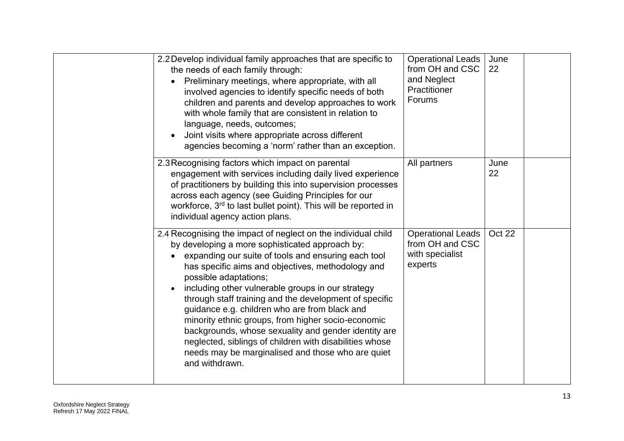| 2.2 Develop individual family approaches that are specific to<br>the needs of each family through:<br>Preliminary meetings, where appropriate, with all<br>involved agencies to identify specific needs of both<br>children and parents and develop approaches to work<br>with whole family that are consistent in relation to<br>language, needs, outcomes;<br>Joint visits where appropriate across different<br>agencies becoming a 'norm' rather than an exception.                                                                                                                                                                                               | <b>Operational Leads</b><br>from OH and CSC<br>and Neglect<br>Practitioner<br>Forums | June<br>22 |  |
|-----------------------------------------------------------------------------------------------------------------------------------------------------------------------------------------------------------------------------------------------------------------------------------------------------------------------------------------------------------------------------------------------------------------------------------------------------------------------------------------------------------------------------------------------------------------------------------------------------------------------------------------------------------------------|--------------------------------------------------------------------------------------|------------|--|
| 2.3 Recognising factors which impact on parental<br>engagement with services including daily lived experience<br>of practitioners by building this into supervision processes<br>across each agency (see Guiding Principles for our<br>workforce, 3rd to last bullet point). This will be reported in<br>individual agency action plans.                                                                                                                                                                                                                                                                                                                              | All partners                                                                         | June<br>22 |  |
| 2.4 Recognising the impact of neglect on the individual child<br>by developing a more sophisticated approach by:<br>expanding our suite of tools and ensuring each tool<br>has specific aims and objectives, methodology and<br>possible adaptations;<br>including other vulnerable groups in our strategy<br>through staff training and the development of specific<br>guidance e.g. children who are from black and<br>minority ethnic groups, from higher socio-economic<br>backgrounds, whose sexuality and gender identity are<br>neglected, siblings of children with disabilities whose<br>needs may be marginalised and those who are quiet<br>and withdrawn. | <b>Operational Leads</b><br>from OH and CSC<br>with specialist<br>experts            | Oct 22     |  |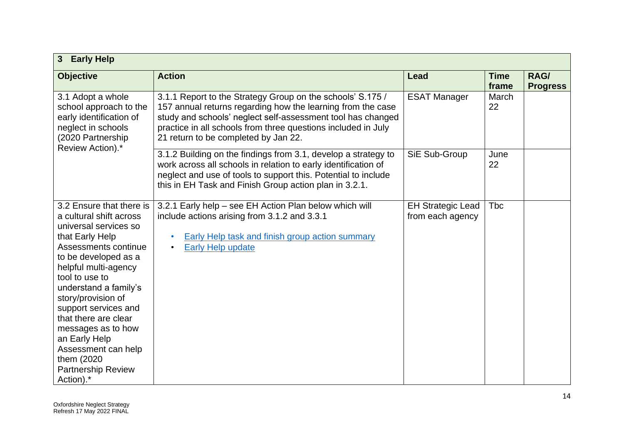| <b>Early Help</b><br>3 <sup>5</sup>                                                                                                                                                                                                                                                                                                                                                                             |                                                                                                                                                                                                                                                                                                   |                                              |                      |                         |
|-----------------------------------------------------------------------------------------------------------------------------------------------------------------------------------------------------------------------------------------------------------------------------------------------------------------------------------------------------------------------------------------------------------------|---------------------------------------------------------------------------------------------------------------------------------------------------------------------------------------------------------------------------------------------------------------------------------------------------|----------------------------------------------|----------------------|-------------------------|
| <b>Objective</b>                                                                                                                                                                                                                                                                                                                                                                                                | <b>Action</b>                                                                                                                                                                                                                                                                                     | <b>Lead</b>                                  | <b>Time</b><br>frame | RAG/<br><b>Progress</b> |
| 3.1 Adopt a whole<br>school approach to the<br>early identification of<br>neglect in schools<br>(2020 Partnership                                                                                                                                                                                                                                                                                               | 3.1.1 Report to the Strategy Group on the schools' S.175 /<br>157 annual returns regarding how the learning from the case<br>study and schools' neglect self-assessment tool has changed<br>practice in all schools from three questions included in July<br>21 return to be completed by Jan 22. | <b>ESAT Manager</b>                          | March<br>22          |                         |
| Review Action).*                                                                                                                                                                                                                                                                                                                                                                                                | 3.1.2 Building on the findings from 3.1, develop a strategy to<br>work across all schools in relation to early identification of<br>neglect and use of tools to support this. Potential to include<br>this in EH Task and Finish Group action plan in 3.2.1.                                      | SiE Sub-Group                                | June<br>22           |                         |
| 3.2 Ensure that there is<br>a cultural shift across<br>universal services so<br>that Early Help<br>Assessments continue<br>to be developed as a<br>helpful multi-agency<br>tool to use to<br>understand a family's<br>story/provision of<br>support services and<br>that there are clear<br>messages as to how<br>an Early Help<br>Assessment can help<br>them (2020)<br><b>Partnership Review</b><br>Action).* | 3.2.1 Early help – see EH Action Plan below which will<br>include actions arising from 3.1.2 and 3.3.1<br><b>Early Help task and finish group action summary</b><br>$\bullet$<br>Early Help update<br>$\bullet$                                                                                   | <b>EH Strategic Lead</b><br>from each agency | <b>Tbc</b>           |                         |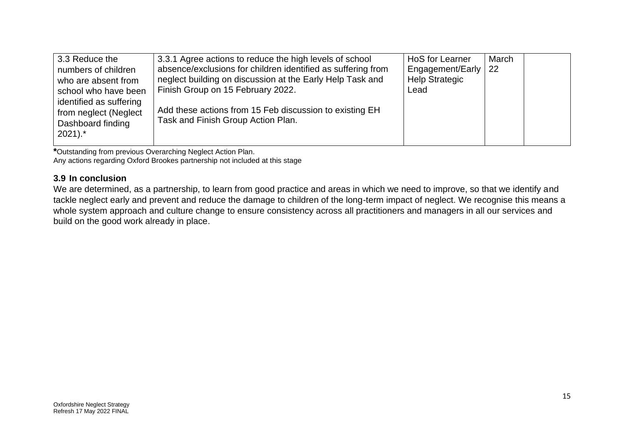| 3.3 Reduce the<br>numbers of children<br>who are absent from<br>school who have been<br>identified as suffering<br>from neglect (Neglect | 3.3.1 Agree actions to reduce the high levels of school<br>absence/exclusions for children identified as suffering from<br>neglect building on discussion at the Early Help Task and<br>Finish Group on 15 February 2022.<br>Add these actions from 15 Feb discussion to existing EH<br>Task and Finish Group Action Plan. | HoS for Learner<br>Engagement/Early  <br><b>Help Strategic</b><br>Lead | March<br><b>22</b> |  |
|------------------------------------------------------------------------------------------------------------------------------------------|----------------------------------------------------------------------------------------------------------------------------------------------------------------------------------------------------------------------------------------------------------------------------------------------------------------------------|------------------------------------------------------------------------|--------------------|--|
| Dashboard finding<br>$2021$ .*                                                                                                           |                                                                                                                                                                                                                                                                                                                            |                                                                        |                    |  |

**\***Outstanding from previous Overarching Neglect Action Plan.

Any actions regarding Oxford Brookes partnership not included at this stage

#### **3.9 In conclusion**

We are determined, as a partnership, to learn from good practice and areas in which we need to improve, so that we identify and tackle neglect early and prevent and reduce the damage to children of the long-term impact of neglect. We recognise this means a whole system approach and culture change to ensure consistency across all practitioners and managers in all our services and build on the good work already in place.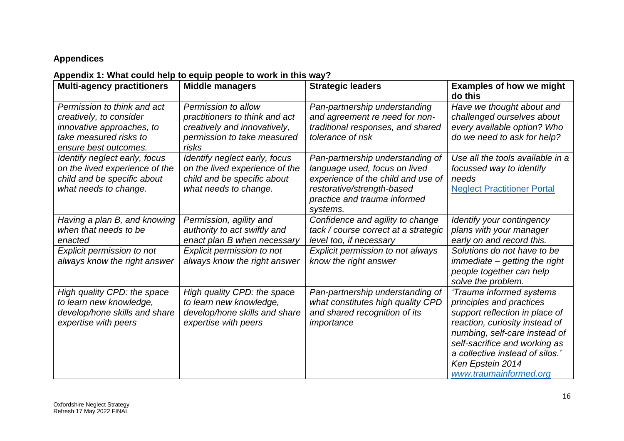# **Appendices**

# **Appendix 1: What could help to equip people to work in this way?**

| <b>Multi-agency practitioners</b>                                                                                                      | <b>Middle managers</b>                                                                                                        | <b>Strategic leaders</b>                                                                                                                                                          | <b>Examples of how we might</b><br>do this                                                                                                                                                                                                                                  |
|----------------------------------------------------------------------------------------------------------------------------------------|-------------------------------------------------------------------------------------------------------------------------------|-----------------------------------------------------------------------------------------------------------------------------------------------------------------------------------|-----------------------------------------------------------------------------------------------------------------------------------------------------------------------------------------------------------------------------------------------------------------------------|
| Permission to think and act<br>creatively, to consider<br>innovative approaches, to<br>take measured risks to<br>ensure best outcomes. | Permission to allow<br>practitioners to think and act<br>creatively and innovatively,<br>permission to take measured<br>risks | Pan-partnership understanding<br>and agreement re need for non-<br>traditional responses, and shared<br>tolerance of risk                                                         | Have we thought about and<br>challenged ourselves about<br>every available option? Who<br>do we need to ask for help?                                                                                                                                                       |
| Identify neglect early, focus<br>on the lived experience of the<br>child and be specific about<br>what needs to change.                | Identify neglect early, focus<br>on the lived experience of the<br>child and be specific about<br>what needs to change.       | Pan-partnership understanding of<br>language used, focus on lived<br>experience of the child and use of<br>restorative/strength-based<br>practice and trauma informed<br>systems. | Use all the tools available in a<br>focussed way to identify<br>needs<br><b>Neglect Practitioner Portal</b>                                                                                                                                                                 |
| Having a plan B, and knowing<br>when that needs to be<br>enacted                                                                       | Permission, agility and<br>authority to act swiftly and<br>enact plan B when necessary                                        | Confidence and agility to change<br>tack / course correct at a strategic<br>level too, if necessary                                                                               | Identify your contingency<br>plans with your manager<br>early on and record this.                                                                                                                                                                                           |
| <b>Explicit permission to not</b><br>always know the right answer                                                                      | <b>Explicit permission to not</b><br>always know the right answer                                                             | Explicit permission to not always<br>know the right answer                                                                                                                        | Solutions do not have to be<br>immediate - getting the right<br>people together can help<br>solve the problem.                                                                                                                                                              |
| High quality CPD: the space<br>to learn new knowledge,<br>develop/hone skills and share<br>expertise with peers                        | High quality CPD: the space<br>to learn new knowledge,<br>develop/hone skills and share<br>expertise with peers               | Pan-partnership understanding of<br>what constitutes high quality CPD<br>and shared recognition of its<br>importance                                                              | 'Trauma informed systems<br>principles and practices<br>support reflection in place of<br>reaction, curiosity instead of<br>numbing, self-care instead of<br>self-sacrifice and working as<br>a collective instead of silos.'<br>Ken Epstein 2014<br>www.traumainformed.org |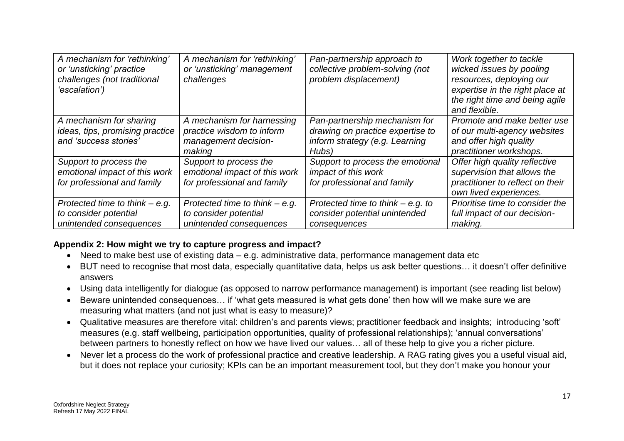| A mechanism for 'rethinking'<br>or 'unsticking' practice<br>challenges (not traditional<br>'escalation') | A mechanism for 'rethinking'<br>or 'unsticking' management<br>challenges                  | Pan-partnership approach to<br>collective problem-solving (not<br>problem displacement)                      | Work together to tackle<br>wicked issues by pooling<br>resources, deploying our<br>expertise in the right place at<br>the right time and being agile<br>and flexible. |
|----------------------------------------------------------------------------------------------------------|-------------------------------------------------------------------------------------------|--------------------------------------------------------------------------------------------------------------|-----------------------------------------------------------------------------------------------------------------------------------------------------------------------|
| A mechanism for sharing<br>ideas, tips, promising practice<br>and 'success stories'                      | A mechanism for harnessing<br>practice wisdom to inform<br>management decision-<br>making | Pan-partnership mechanism for<br>drawing on practice expertise to<br>inform strategy (e.g. Learning<br>Hubs) | Promote and make better use<br>of our multi-agency websites<br>and offer high quality<br>practitioner workshops.                                                      |
| Support to process the<br>emotional impact of this work<br>for professional and family                   | Support to process the<br>emotional impact of this work<br>for professional and family    | Support to process the emotional<br>impact of this work<br>for professional and family                       | Offer high quality reflective<br>supervision that allows the<br>practitioner to reflect on their<br>own lived experiences.                                            |
| Protected time to think $-$ e.g.<br>to consider potential<br>unintended consequences                     | Protected time to think $-$ e.g.<br>to consider potential<br>unintended consequences      | Protected time to think $-$ e.g. to<br>consider potential unintended<br>consequences                         | Prioritise time to consider the<br>full impact of our decision-<br>making.                                                                                            |

## **Appendix 2: How might we try to capture progress and impact?**

- Need to make best use of existing data e.g. administrative data, performance management data etc
- BUT need to recognise that most data, especially quantitative data, helps us ask better questions… it doesn't offer definitive answers
- Using data intelligently for dialogue (as opposed to narrow performance management) is important (see reading list below)
- Beware unintended consequences… if 'what gets measured is what gets done' then how will we make sure we are measuring what matters (and not just what is easy to measure)?
- Qualitative measures are therefore vital: children's and parents views; practitioner feedback and insights; introducing 'soft' measures (e.g. staff wellbeing, participation opportunities, quality of professional relationships); 'annual conversations' between partners to honestly reflect on how we have lived our values… all of these help to give you a richer picture.
- Never let a process do the work of professional practice and creative leadership. A RAG rating gives you a useful visual aid, but it does not replace your curiosity; KPIs can be an important measurement tool, but they don't make you honour your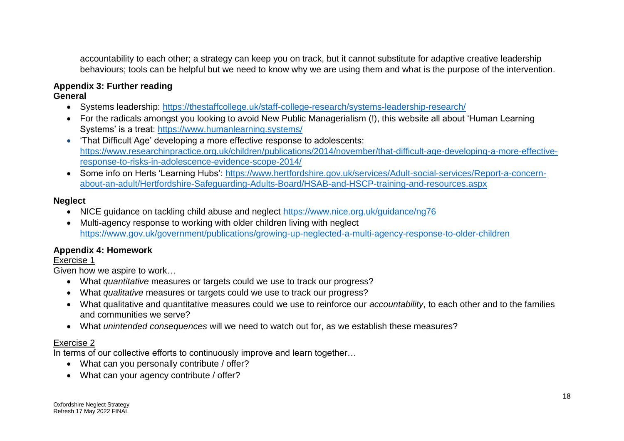accountability to each other; a strategy can keep you on track, but it cannot substitute for adaptive creative leadership behaviours; tools can be helpful but we need to know why we are using them and what is the purpose of the intervention.

# **Appendix 3: Further reading**

## **General**

- Systems leadership:<https://thestaffcollege.uk/staff-college-research/systems-leadership-research/>
- For the radicals amongst you looking to avoid New Public Managerialism (!), this website all about 'Human Learning Systems' is a treat:<https://www.humanlearning.systems/>
- 'That Difficult Age' developing a more effective response to adolescents: [https://www.researchinpractice.org.uk/children/publications/2014/november/that-difficult-age-developing-a-more-effective](https://www.researchinpractice.org.uk/children/publications/2014/november/that-difficult-age-developing-a-more-effective-response-to-risks-in-adolescence-evidence-scope-2014/)[response-to-risks-in-adolescence-evidence-scope-2014/](https://www.researchinpractice.org.uk/children/publications/2014/november/that-difficult-age-developing-a-more-effective-response-to-risks-in-adolescence-evidence-scope-2014/)
- Some info on Herts 'Learning Hubs': [https://www.hertfordshire.gov.uk/services/Adult-social-services/Report-a-concern](https://www.hertfordshire.gov.uk/services/Adult-social-services/Report-a-concern-about-an-adult/Hertfordshire-Safeguarding-Adults-Board/HSAB-and-HSCP-training-and-resources.aspx)[about-an-adult/Hertfordshire-Safeguarding-Adults-Board/HSAB-and-HSCP-training-and-resources.aspx](https://www.hertfordshire.gov.uk/services/Adult-social-services/Report-a-concern-about-an-adult/Hertfordshire-Safeguarding-Adults-Board/HSAB-and-HSCP-training-and-resources.aspx)

## **Neglect**

- NICE guidance on tackling child abuse and neglect<https://www.nice.org.uk/guidance/ng76>
- Multi-agency response to working with older children living with neglect <https://www.gov.uk/government/publications/growing-up-neglected-a-multi-agency-response-to-older-children>

## **Appendix 4: Homework**

## Exercise 1

Given how we aspire to work…

- What *quantitative* measures or targets could we use to track our progress?
- What *qualitative* measures or targets could we use to track our progress?
- What qualitative and quantitative measures could we use to reinforce our *accountability*, to each other and to the families and communities we serve?
- What *unintended consequences* will we need to watch out for, as we establish these measures?

## Exercise 2

In terms of our collective efforts to continuously improve and learn together...

- What can you personally contribute / offer?
- What can your agency contribute / offer?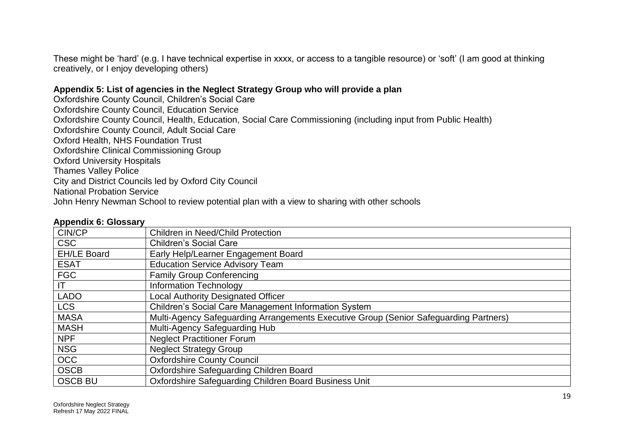These might be 'hard' (e.g. I have technical expertise in xxxx, or access to a tangible resource) or 'soft' (I am good at thinking creatively, or I enjoy developing others)

#### **Appendix 5: List of agencies in the Neglect Strategy Group who will provide a plan**

Oxfordshire County Council, Children's Social Care Oxfordshire County Council, Education Service Oxfordshire County Council, Health, Education, Social Care Commissioning (including input from Public Health) Oxfordshire County Council, Adult Social Care Oxford Health, NHS Foundation Trust Oxfordshire Clinical Commissioning Group Oxford University Hospitals Thames Valley Police City and District Councils led by Oxford City Council National Probation Service John Henry Newman School to review potential plan with a view to sharing with other schools

#### **Appendix 6: Glossary**

| CIN/CP             | <b>Children in Need/Child Protection</b>                                              |
|--------------------|---------------------------------------------------------------------------------------|
| <b>CSC</b>         | <b>Children's Social Care</b>                                                         |
| <b>EH/LE Board</b> | Early Help/Learner Engagement Board                                                   |
| <b>ESAT</b>        | <b>Education Service Advisory Team</b>                                                |
| <b>FGC</b>         | <b>Family Group Conferencing</b>                                                      |
| IT                 | <b>Information Technology</b>                                                         |
| <b>LADO</b>        | Local Authority Designated Officer                                                    |
| <b>LCS</b>         | Children's Social Care Management Information System                                  |
| <b>MASA</b>        | Multi-Agency Safeguarding Arrangements Executive Group (Senior Safeguarding Partners) |
| <b>MASH</b>        | Multi-Agency Safeguarding Hub                                                         |
| <b>NPF</b>         | <b>Neglect Practitioner Forum</b>                                                     |
| <b>NSG</b>         | <b>Neglect Strategy Group</b>                                                         |
| <b>OCC</b>         | <b>Oxfordshire County Council</b>                                                     |
| <b>OSCB</b>        | Oxfordshire Safeguarding Children Board                                               |
| <b>OSCB BU</b>     | Oxfordshire Safeguarding Children Board Business Unit                                 |